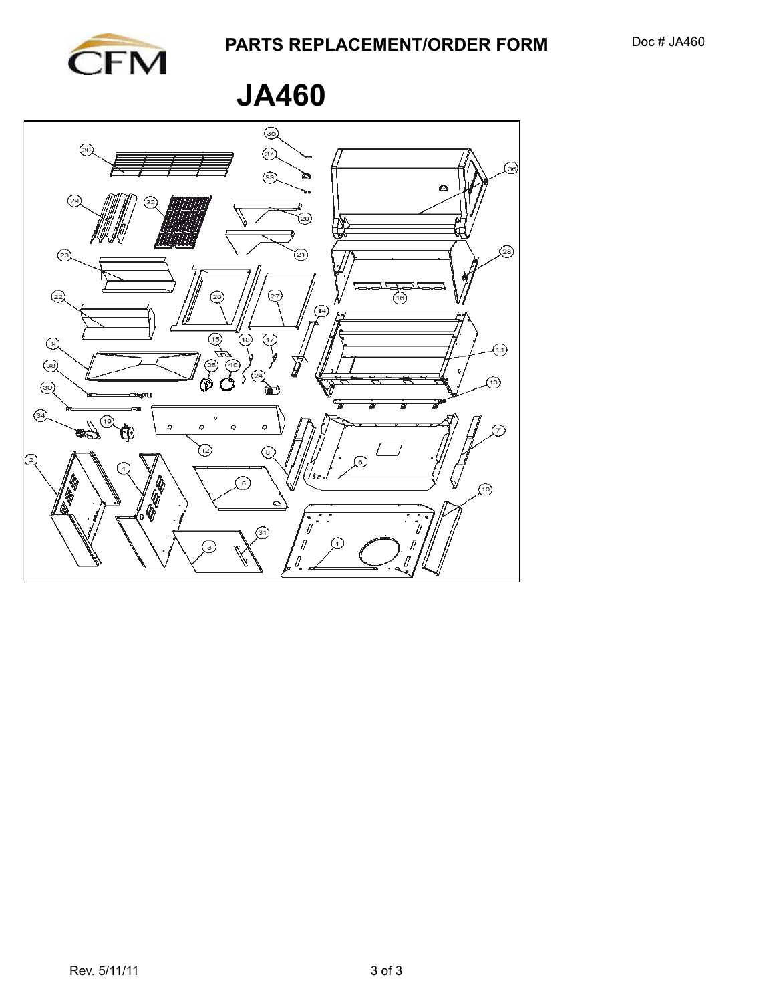**JA460**

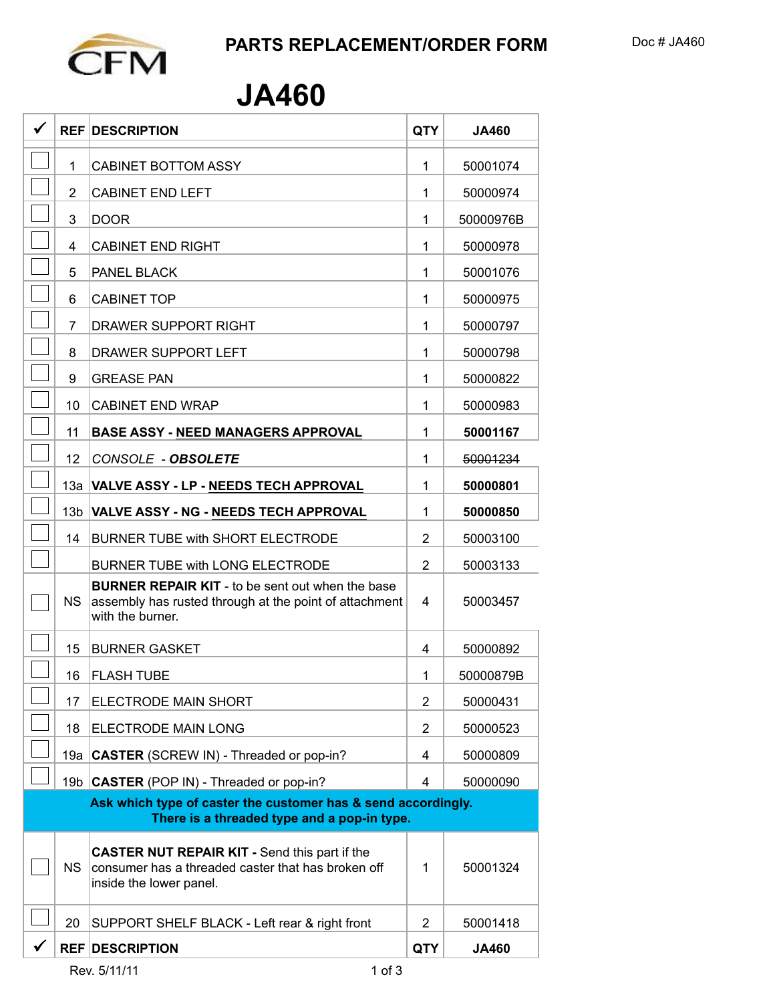## **JA460**

|                                                                                                              | <b>REF DESCRIPTION</b>                                                                                                                | <b>QTY</b>     | <b>JA460</b> |  |  |
|--------------------------------------------------------------------------------------------------------------|---------------------------------------------------------------------------------------------------------------------------------------|----------------|--------------|--|--|
| 1                                                                                                            | <b>CABINET BOTTOM ASSY</b>                                                                                                            | 1              | 50001074     |  |  |
| $\overline{2}$                                                                                               | <b>CABINET END LEFT</b>                                                                                                               | 1              | 50000974     |  |  |
| 3                                                                                                            | <b>DOOR</b>                                                                                                                           | 1              | 50000976B    |  |  |
| 4                                                                                                            | <b>CABINET END RIGHT</b>                                                                                                              | 1              | 50000978     |  |  |
| 5                                                                                                            | PANEL BLACK                                                                                                                           | 1              | 50001076     |  |  |
| 6                                                                                                            | <b>CABINET TOP</b>                                                                                                                    | 1              | 50000975     |  |  |
| 7                                                                                                            | <b>DRAWER SUPPORT RIGHT</b>                                                                                                           | 1              | 50000797     |  |  |
| 8                                                                                                            | DRAWER SUPPORT LEFT                                                                                                                   | 1              | 50000798     |  |  |
| 9                                                                                                            | <b>GREASE PAN</b>                                                                                                                     | 1              | 50000822     |  |  |
| 10                                                                                                           | <b>CABINET END WRAP</b>                                                                                                               | 1              | 50000983     |  |  |
| 11                                                                                                           | <b>BASE ASSY - NEED MANAGERS APPROVAL</b>                                                                                             | 1              | 50001167     |  |  |
| 12                                                                                                           | CONSOLE - OBSOLETE                                                                                                                    | 1              | 50001234     |  |  |
|                                                                                                              | 13a VALVE ASSY - LP - NEEDS TECH APPROVAL                                                                                             | 1              | 50000801     |  |  |
| 13 <sub>b</sub>                                                                                              | <b>VALVE ASSY - NG - NEEDS TECH APPROVAL</b>                                                                                          | 1              | 50000850     |  |  |
| 14                                                                                                           | <b>BURNER TUBE with SHORT ELECTRODE</b>                                                                                               | 2              | 50003100     |  |  |
|                                                                                                              | <b>BURNER TUBE with LONG ELECTRODE</b>                                                                                                | 2              | 50003133     |  |  |
| NS.                                                                                                          | <b>BURNER REPAIR KIT</b> - to be sent out when the base<br>assembly has rusted through at the point of attachment<br>with the burner. | 4              | 50003457     |  |  |
| 15                                                                                                           | <b>BURNER GASKET</b>                                                                                                                  | 4              | 50000892     |  |  |
| 16                                                                                                           | <b>FLASH TUBE</b>                                                                                                                     | 1              | 50000879B    |  |  |
| 17                                                                                                           | ELECTRODE MAIN SHORT                                                                                                                  | 2              | 50000431     |  |  |
| 18                                                                                                           | <b>ELECTRODE MAIN LONG</b>                                                                                                            | 2              | 50000523     |  |  |
|                                                                                                              | 19a   CASTER (SCREW IN) - Threaded or pop-in?                                                                                         | 4              | 50000809     |  |  |
|                                                                                                              | 19b CASTER (POP IN) - Threaded or pop-in?                                                                                             | 4              | 50000090     |  |  |
| Ask which type of caster the customer has & send accordingly.<br>There is a threaded type and a pop-in type. |                                                                                                                                       |                |              |  |  |
|                                                                                                              |                                                                                                                                       |                |              |  |  |
| NS.                                                                                                          | <b>CASTER NUT REPAIR KIT - Send this part if the</b><br>consumer has a threaded caster that has broken off<br>inside the lower panel. | 1              | 50001324     |  |  |
| 20                                                                                                           | SUPPORT SHELF BLACK - Left rear & right front                                                                                         | $\overline{2}$ | 50001418     |  |  |
|                                                                                                              | <b>REF DESCRIPTION</b>                                                                                                                | <b>QTY</b>     | <b>JA460</b> |  |  |